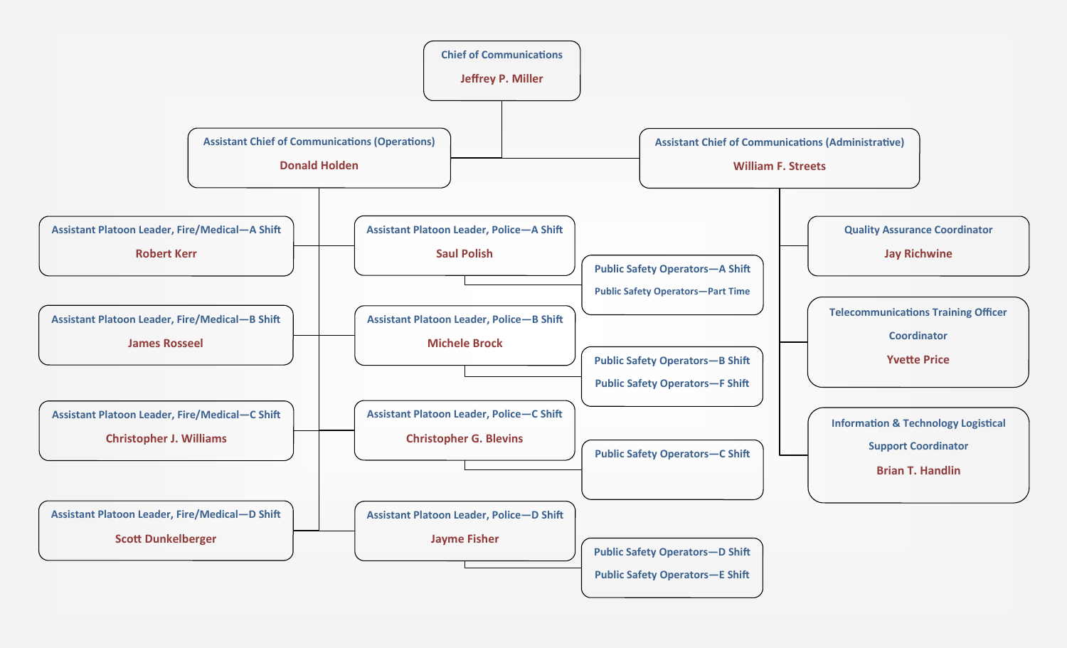